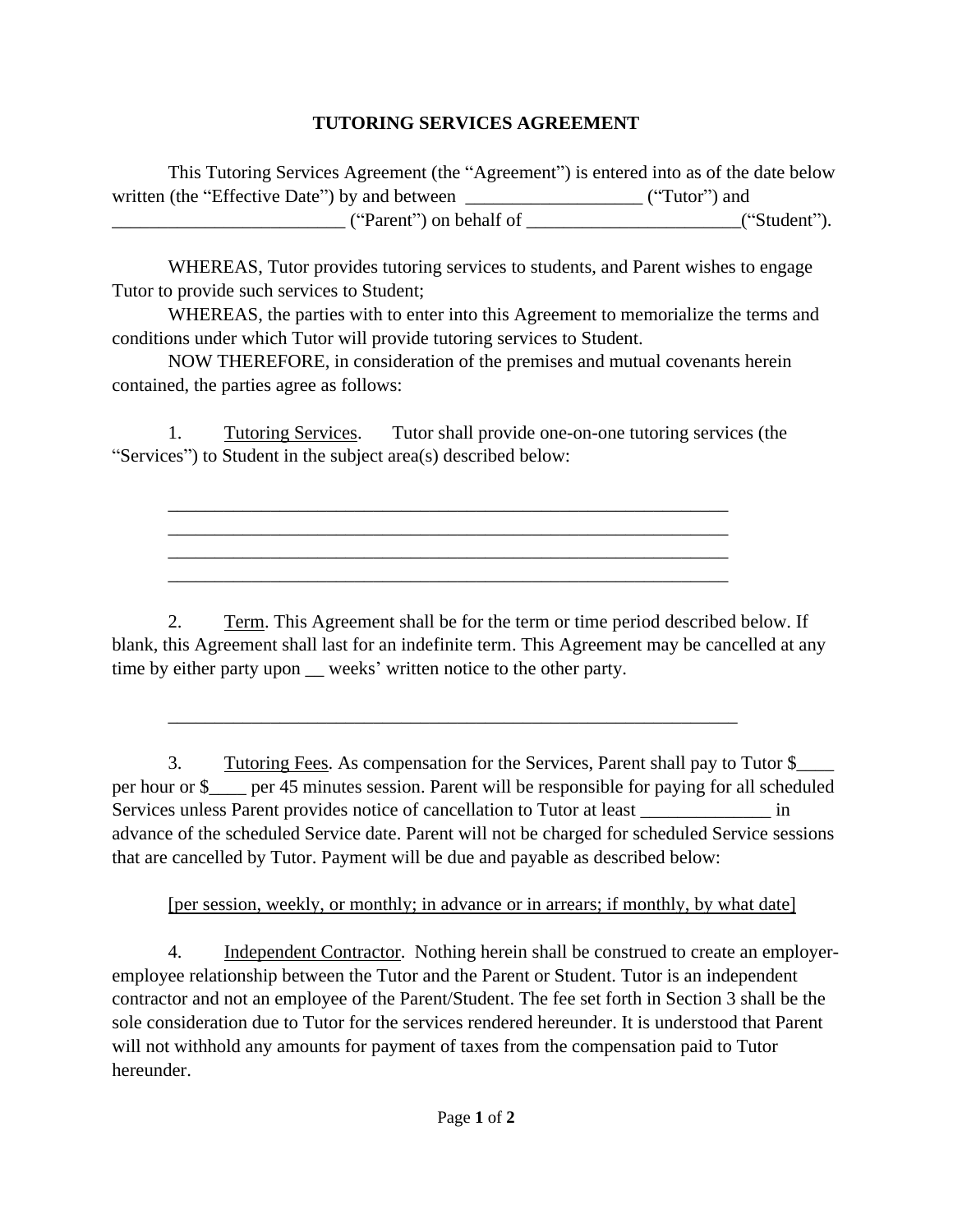## **TUTORING SERVICES AGREEMENT**

This Tutoring Services Agreement (the "Agreement") is entered into as of the date below written (the "Effective Date") by and between \_\_\_\_\_\_\_\_\_\_\_\_\_\_\_\_\_\_\_\_\_ ("Tutor") and  $("Parent")$  on behalf of  $\qquad \qquad$  ("Student").

WHEREAS, Tutor provides tutoring services to students, and Parent wishes to engage Tutor to provide such services to Student;

WHEREAS, the parties with to enter into this Agreement to memorialize the terms and conditions under which Tutor will provide tutoring services to Student.

NOW THEREFORE, in consideration of the premises and mutual covenants herein contained, the parties agree as follows:

1. Tutoring Services. Tutor shall provide one-on-one tutoring services (the "Services") to Student in the subject area(s) described below:

\_\_\_\_\_\_\_\_\_\_\_\_\_\_\_\_\_\_\_\_\_\_\_\_\_\_\_\_\_\_\_\_\_\_\_\_\_\_\_\_\_\_\_\_\_\_\_\_\_\_\_\_\_\_\_\_\_\_\_\_ \_\_\_\_\_\_\_\_\_\_\_\_\_\_\_\_\_\_\_\_\_\_\_\_\_\_\_\_\_\_\_\_\_\_\_\_\_\_\_\_\_\_\_\_\_\_\_\_\_\_\_\_\_\_\_\_\_\_\_\_ \_\_\_\_\_\_\_\_\_\_\_\_\_\_\_\_\_\_\_\_\_\_\_\_\_\_\_\_\_\_\_\_\_\_\_\_\_\_\_\_\_\_\_\_\_\_\_\_\_\_\_\_\_\_\_\_\_\_\_\_ \_\_\_\_\_\_\_\_\_\_\_\_\_\_\_\_\_\_\_\_\_\_\_\_\_\_\_\_\_\_\_\_\_\_\_\_\_\_\_\_\_\_\_\_\_\_\_\_\_\_\_\_\_\_\_\_\_\_\_\_

2. Term. This Agreement shall be for the term or time period described below. If blank, this Agreement shall last for an indefinite term. This Agreement may be cancelled at any time by either party upon weeks' written notice to the other party.

\_\_\_\_\_\_\_\_\_\_\_\_\_\_\_\_\_\_\_\_\_\_\_\_\_\_\_\_\_\_\_\_\_\_\_\_\_\_\_\_\_\_\_\_\_\_\_\_\_\_\_\_\_\_\_\_\_\_\_\_\_

3. Tutoring Fees. As compensation for the Services, Parent shall pay to Tutor \$\_\_\_\_ per hour or \$\_\_\_\_ per 45 minutes session. Parent will be responsible for paying for all scheduled Services unless Parent provides notice of cancellation to Tutor at least \_\_\_\_\_\_\_\_\_\_\_\_\_\_\_ in advance of the scheduled Service date. Parent will not be charged for scheduled Service sessions that are cancelled by Tutor. Payment will be due and payable as described below:

## [per session, weekly, or monthly; in advance or in arrears; if monthly, by what date]

4. Independent Contractor. Nothing herein shall be construed to create an employeremployee relationship between the Tutor and the Parent or Student. Tutor is an independent contractor and not an employee of the Parent/Student. The fee set forth in Section 3 shall be the sole consideration due to Tutor for the services rendered hereunder. It is understood that Parent will not withhold any amounts for payment of taxes from the compensation paid to Tutor hereunder.